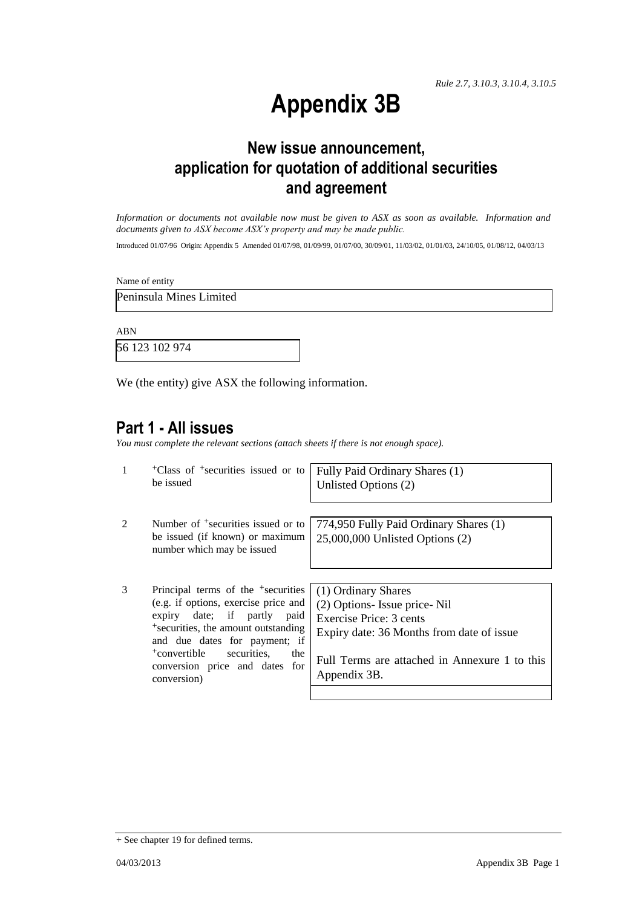# **Appendix 3B**

## **New issue announcement, application for quotation of additional securities and agreement**

*Information or documents not available now must be given to ASX as soon as available. Information and documents given to ASX become ASX's property and may be made public.*

Introduced 01/07/96 Origin: Appendix 5 Amended 01/07/98, 01/09/99, 01/07/00, 30/09/01, 11/03/02, 01/01/03, 24/10/05, 01/08/12, 04/03/13

Name of entity

Peninsula Mines Limited

ABN

56 123 102 974

We (the entity) give ASX the following information.

## **Part 1 - All issues**

*You must complete the relevant sections (attach sheets if there is not enough space).*

| $\mathbf{1}$ | <sup>+</sup> Class of <sup>+</sup> securities issued or to<br>be issued                                                                                                                                                                                                                                         | Fully Paid Ordinary Shares (1)<br>Unlisted Options (2)                                                                                                                                       |
|--------------|-----------------------------------------------------------------------------------------------------------------------------------------------------------------------------------------------------------------------------------------------------------------------------------------------------------------|----------------------------------------------------------------------------------------------------------------------------------------------------------------------------------------------|
| 2            | Number of <sup>+</sup> securities issued or to<br>be issued (if known) or maximum<br>number which may be issued                                                                                                                                                                                                 | 774,950 Fully Paid Ordinary Shares (1)<br>$25,000,000$ Unlisted Options $(2)$                                                                                                                |
| 3            | Principal terms of the <sup>+</sup> securities<br>(e.g. if options, exercise price and<br>expiry date; if partly<br>paid<br><sup>+</sup> securities, the amount outstanding<br>and due dates for payment; if<br><sup>+</sup> convertible<br>securities.<br>the<br>conversion price and dates for<br>conversion) | (1) Ordinary Shares<br>(2) Options- Issue price-Nil<br>Exercise Price: 3 cents<br>Expiry date: 36 Months from date of issue<br>Full Terms are attached in Annexure 1 to this<br>Appendix 3B. |

<sup>+</sup> See chapter 19 for defined terms.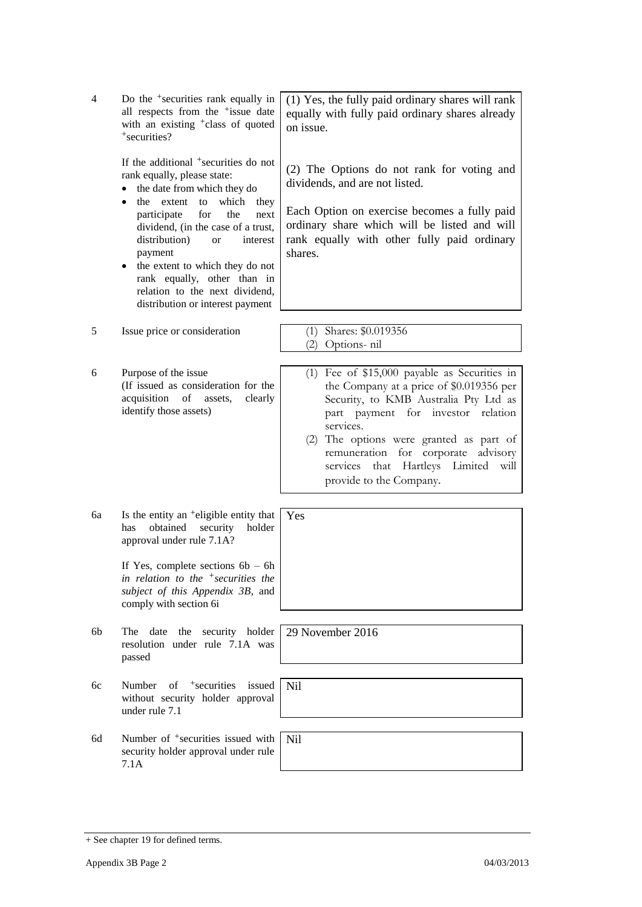| 4  | Do the <sup>+</sup> securities rank equally in<br>all respects from the <sup>+</sup> issue date<br>with an existing <sup>+</sup> class of quoted<br>+securities?                                                                                                                                                                                                                                                                                      | (1) Yes, the fully paid ordinary shares will rank<br>equally with fully paid ordinary shares already<br>on issue.                                                                                                                                                                                                                                     |
|----|-------------------------------------------------------------------------------------------------------------------------------------------------------------------------------------------------------------------------------------------------------------------------------------------------------------------------------------------------------------------------------------------------------------------------------------------------------|-------------------------------------------------------------------------------------------------------------------------------------------------------------------------------------------------------------------------------------------------------------------------------------------------------------------------------------------------------|
|    | If the additional <sup>+</sup> securities do not<br>rank equally, please state:<br>the date from which they do<br>which<br>the extent<br>to<br>they<br>$\bullet$<br>participate<br>for<br>the<br>next<br>dividend, (in the case of a trust,<br>distribution)<br>interest<br><b>or</b><br>payment<br>the extent to which they do not<br>$\bullet$<br>rank equally, other than in<br>relation to the next dividend,<br>distribution or interest payment | (2) The Options do not rank for voting and<br>dividends, and are not listed.<br>Each Option on exercise becomes a fully paid<br>ordinary share which will be listed and will<br>rank equally with other fully paid ordinary<br>shares.                                                                                                                |
| 5  | Issue price or consideration                                                                                                                                                                                                                                                                                                                                                                                                                          | (1) Shares: \$0.019356<br>(2) Options-nil                                                                                                                                                                                                                                                                                                             |
| 6  | Purpose of the issue<br>(If issued as consideration for the<br>acquisition of<br>clearly<br>assets,<br>identify those assets)                                                                                                                                                                                                                                                                                                                         | (1) Fee of $$15,000$ payable as Securities in<br>the Company at a price of \$0.019356 per<br>Security, to KMB Australia Pty Ltd as<br>part payment for investor relation<br>services.<br>(2) The options were granted as part of<br>remuneration<br>for corporate advisory<br>Hartleys Limited<br>that<br>will<br>services<br>provide to the Company. |
| бa | Is the entity an <sup>+</sup> eligible entity that<br>obtained<br>holder<br>security<br>has<br>approval under rule 7.1A?                                                                                                                                                                                                                                                                                                                              | Yes                                                                                                                                                                                                                                                                                                                                                   |
|    | If Yes, complete sections $6b - 6h$<br>in relation to the $\pm$ securities the<br>subject of this Appendix 3B, and<br>comply with section 6i                                                                                                                                                                                                                                                                                                          |                                                                                                                                                                                                                                                                                                                                                       |
| 6b | The date<br>the security holder<br>resolution under rule 7.1A was<br>passed                                                                                                                                                                                                                                                                                                                                                                           | 29 November 2016                                                                                                                                                                                                                                                                                                                                      |
| 6c | $of$ +securities<br>Number<br>issued<br>without security holder approval<br>under rule 7.1                                                                                                                                                                                                                                                                                                                                                            | N <sub>il</sub>                                                                                                                                                                                                                                                                                                                                       |
| 6d | Number of <sup>+</sup> securities issued with<br>security holder approval under rule<br>7.1A                                                                                                                                                                                                                                                                                                                                                          | <b>Nil</b>                                                                                                                                                                                                                                                                                                                                            |

<sup>+</sup> See chapter 19 for defined terms.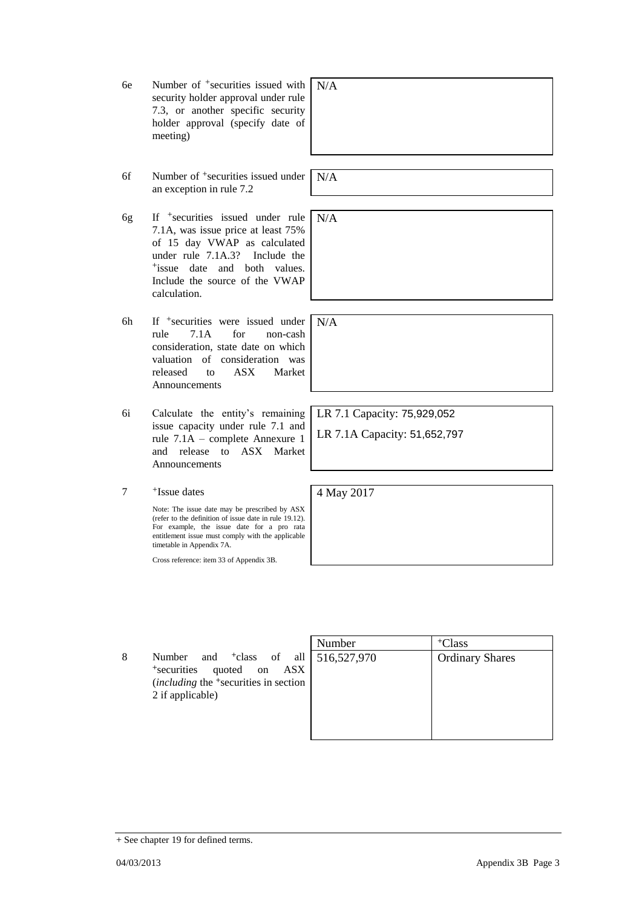+ See chapter 19 for defined terms.

6e Number of +securities issued with security holder approval under rule 7.3, or another specific security

meeting)

6f Number of +securities issued under an exception in rule 7.2

holder approval (specify date of

- 6g If +securities issued under rule 7.1A, was issue price at least 75% of 15 day VWAP as calculated under rule 7.1A.3? Include the +issue date and both values. Include the source of the VWAP calculation.
- 6h If +securities were issued under rule 7.1A for non-cash consideration, state date on which valuation of consideration was released to ASX Market Announcements
- 6i Calculate the entity's remaining issue capacity under rule 7.1 and rule 7.1A – complete Annexure 1 and release to ASX Market Announcements
- 7 +Issue dates

Note: The issue date may be prescribed by ASX (refer to the definition of issue date in rule 19.12). For example, the issue date for a pro rata entitlement issue must comply with the applicable timetable in Appendix 7A.

Cross reference: item 33 of Appendix 3B.

8 Number and <sup>+</sup>class of all <sup>+</sup>securities quoted on ASX (*including* the <sup>+</sup>securities in section 2 if applicable)

| Number      | <sup>+</sup> Class     |
|-------------|------------------------|
| 516,527,970 | <b>Ordinary Shares</b> |
|             |                        |
|             |                        |
|             |                        |
|             |                        |
|             |                        |

LR 7.1 Capacity: 75,929,052

LR 7.1A Capacity: 51,652,797

4 May 2017

N/A

N/A

N/A

N/A

04/03/2013 Appendix 3B Page 3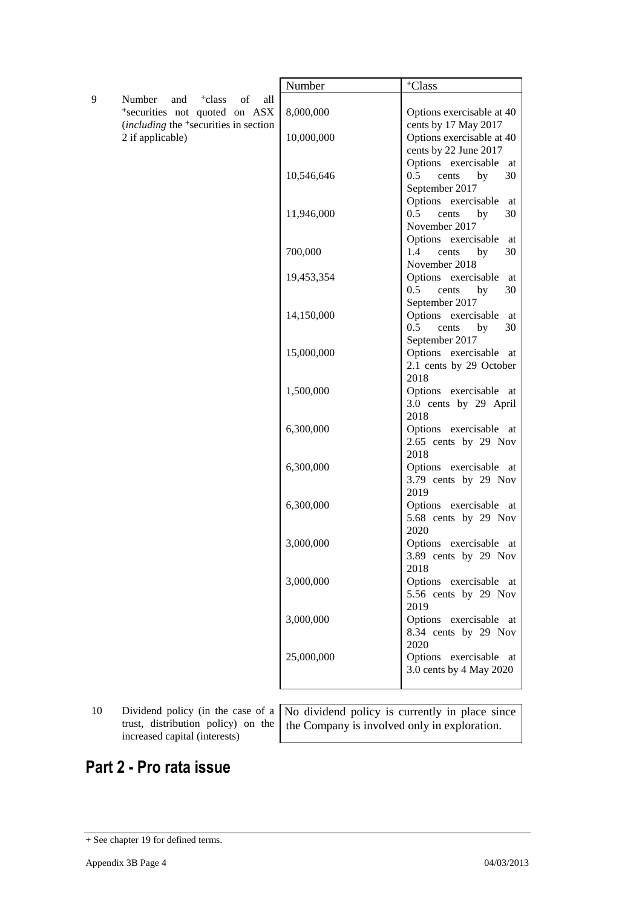9 Number and <sup>+</sup>class of all <sup>+</sup>securities not quoted on ASX (*including* the <sup>+</sup>securities in section 2 if applicable)

| Number     | <sup>+</sup> Class                             |
|------------|------------------------------------------------|
| 8,000,000  | Options exercisable at 40                      |
|            | cents by 17 May 2017                           |
| 10,000,000 | Options exercisable at 40                      |
|            | cents by 22 June 2017                          |
|            | Options exercisable<br>at                      |
| 10,546,646 | 0.5<br>30<br>cents<br>by                       |
|            | September 2017                                 |
|            | Options exercisable<br>at                      |
| 11,946,000 | 0.5<br>30<br>cents<br>by                       |
|            | November 2017                                  |
|            | Options exercisable<br>at                      |
| 700,000    | 1.4 cents<br>30<br>by<br>November 2018         |
| 19,453,354 | Options exercisable<br>at                      |
|            | $0.5$ cents<br>30<br>by                        |
|            | September 2017                                 |
| 14,150,000 | Options exercisable<br>at                      |
|            | $0.5$ cents<br>30<br>by                        |
|            | September 2017                                 |
| 15,000,000 | Options exercisable<br>at                      |
|            | 2.1 cents by 29 October                        |
|            | 2018                                           |
| 1,500,000  | Options exercisable<br>at                      |
|            | 3.0 cents by 29 April                          |
|            | 2018                                           |
| 6,300,000  | Options exercisable at<br>2.65 cents by 29 Nov |
|            | 2018                                           |
| 6,300,000  | Options exercisable<br>at                      |
|            | 3.79 cents by 29 Nov                           |
|            | 2019                                           |
| 6,300,000  | Options exercisable<br>at                      |
|            | 5.68 cents by 29 Nov                           |
|            | 2020                                           |
| 3,000,000  | Options exercisable<br>at                      |
|            | 3.89 cents by 29 Nov                           |
|            | 2018                                           |
| 3,000,000  | Options exercisable at<br>5.56 cents by 29 Nov |
|            | 2019                                           |
| 3,000,000  | Options exercisable at                         |
|            | 8.34 cents by 29 Nov                           |
|            | 2020                                           |
| 25,000,000 | Options exercisable<br>at                      |
|            | 3.0 cents by 4 May 2020                        |
|            |                                                |

10 Dividend policy (in the case of a trust, distribution policy) on the increased capital (interests)

No dividend policy is currently in place since the Company is involved only in exploration.

## **Part 2 - Pro rata issue**

<sup>+</sup> See chapter 19 for defined terms.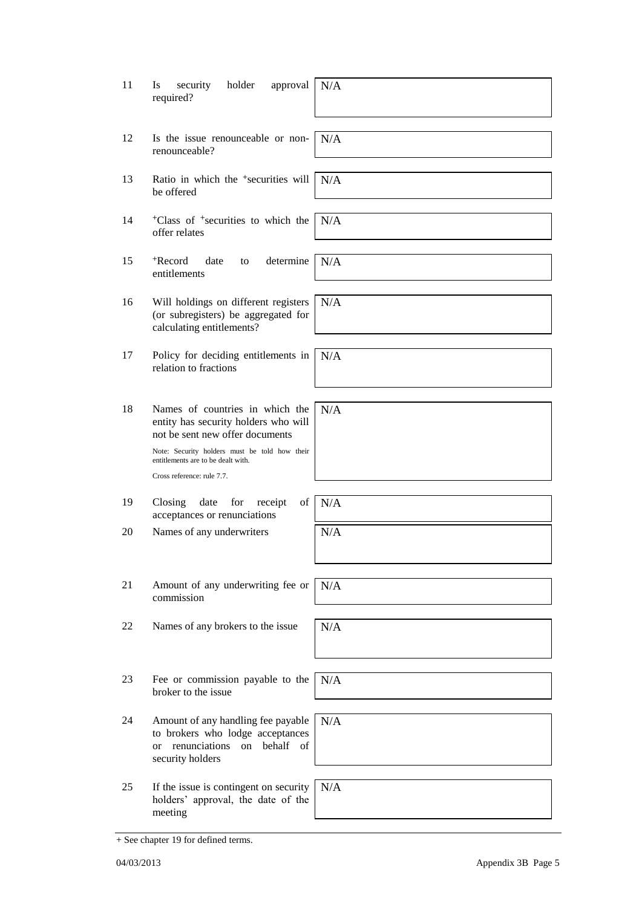| 11 | security<br>holder<br>Is<br>approval<br>required?                                                                                 | N/A |
|----|-----------------------------------------------------------------------------------------------------------------------------------|-----|
| 12 | Is the issue renounceable or non-<br>renounceable?                                                                                | N/A |
| 13 | Ratio in which the <sup>+</sup> securities will<br>be offered                                                                     | N/A |
| 14 | <sup>+</sup> Class of <sup>+</sup> securities to which the<br>offer relates                                                       | N/A |
| 15 | <sup>+</sup> Record<br>date<br>determine<br>to<br>entitlements                                                                    | N/A |
| 16 | Will holdings on different registers<br>(or subregisters) be aggregated for<br>calculating entitlements?                          | N/A |
| 17 | Policy for deciding entitlements in<br>relation to fractions                                                                      | N/A |
| 18 | Names of countries in which the<br>entity has security holders who will<br>not be sent new offer documents                        | N/A |
|    | Note: Security holders must be told how their<br>entitlements are to be dealt with.<br>Cross reference: rule 7.7.                 |     |
| 19 | Closing<br>of<br>date<br>for<br>receipt<br>acceptances or renunciations                                                           | N/A |
| 20 | Names of any underwriters                                                                                                         | N/A |
|    |                                                                                                                                   |     |
| 21 | Amount of any underwriting fee or<br>commission                                                                                   | N/A |
| 22 | Names of any brokers to the issue                                                                                                 | N/A |
| 23 | Fee or commission payable to the<br>broker to the issue                                                                           | N/A |
| 24 | Amount of any handling fee payable<br>to brokers who lodge acceptances<br>renunciations<br>on behalf of<br>or<br>security holders | N/A |
| 25 | If the issue is contingent on security<br>holders' approval, the date of the<br>meeting                                           | N/A |

<sup>+</sup> See chapter 19 for defined terms.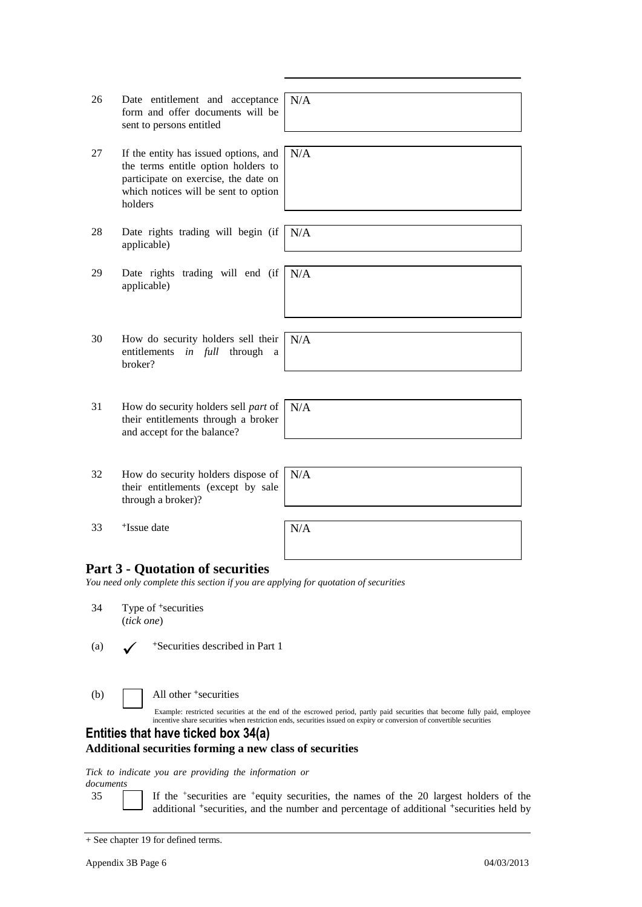| 26  | Date entitlement and acceptance<br>form and offer documents will be<br>sent to persons entitled                                                                         | N/A                                                                                                                                                                                                                                                |
|-----|-------------------------------------------------------------------------------------------------------------------------------------------------------------------------|----------------------------------------------------------------------------------------------------------------------------------------------------------------------------------------------------------------------------------------------------|
| 27  | If the entity has issued options, and<br>the terms entitle option holders to<br>participate on exercise, the date on<br>which notices will be sent to option<br>holders | N/A                                                                                                                                                                                                                                                |
| 28  | Date rights trading will begin (if<br>applicable)                                                                                                                       | N/A                                                                                                                                                                                                                                                |
| 29  | Date rights trading will end (if<br>applicable)                                                                                                                         | N/A                                                                                                                                                                                                                                                |
| 30  | How do security holders sell their<br>entitlements<br><i>in full</i> through<br>a a<br>broker?                                                                          | N/A                                                                                                                                                                                                                                                |
| 31  | How do security holders sell part of<br>their entitlements through a broker<br>and accept for the balance?                                                              | N/A                                                                                                                                                                                                                                                |
| 32  | How do security holders dispose of<br>their entitlements (except by sale<br>through a broker)?                                                                          | N/A                                                                                                                                                                                                                                                |
| 33  | <sup>+</sup> Issue date                                                                                                                                                 | N/A                                                                                                                                                                                                                                                |
|     | <b>Part 3 - Quotation of securities</b><br>You need only complete this section if you are applying for quotation of securities                                          |                                                                                                                                                                                                                                                    |
| 34  | Type of <sup>+</sup> securities<br>(tick one)                                                                                                                           |                                                                                                                                                                                                                                                    |
| (a) | *Securities described in Part 1                                                                                                                                         |                                                                                                                                                                                                                                                    |
| (b) | All other <sup>+</sup> securities                                                                                                                                       | Example: restricted securities at the end of the escrowed period, partly paid securities that become fully paid, employee<br>incentive share securities when restriction ends, securities issued on expiry or conversion of convertible securities |
|     | Entities that have ticked box 34(a)<br><b>Additional securities forming a new class of securities</b>                                                                   |                                                                                                                                                                                                                                                    |
|     | Tick to indicate you are providing the information or                                                                                                                   |                                                                                                                                                                                                                                                    |

*documents*

35 If the <sup>+</sup> securities are <sup>+</sup>equity securities, the names of the 20 largest holders of the additional <sup>+</sup>securities, and the number and percentage of additional <sup>+</sup>securities held by

<sup>+</sup> See chapter 19 for defined terms.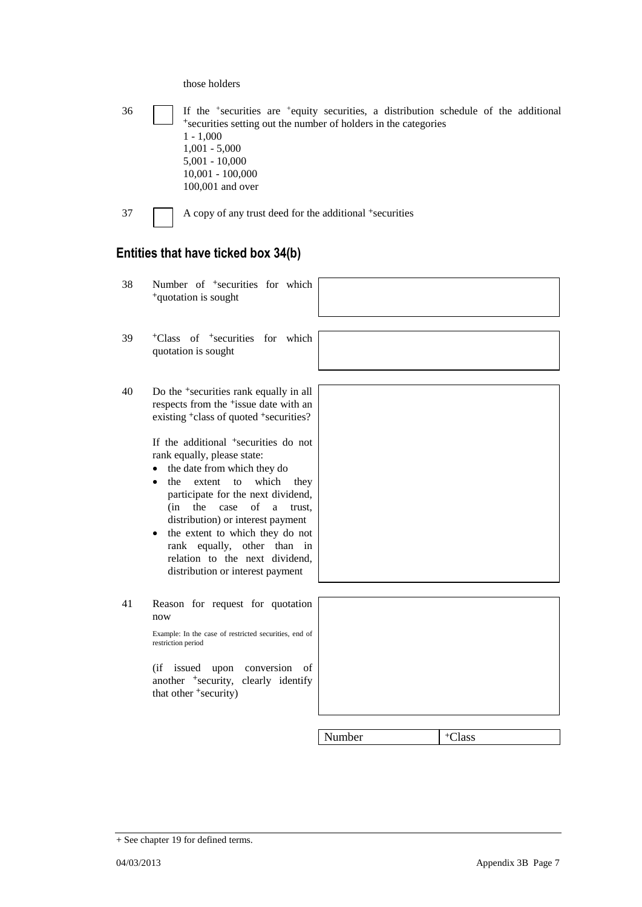those holders

|    | *securities setting out the number of holders in the categories<br>$1 - 1,000$<br>$1,001 - 5,000$<br>$5,001 - 10,000$<br>$10,001 - 100,000$<br>100,001 and over                                                                                                                                                                                                                                                                                     |        |                    |
|----|-----------------------------------------------------------------------------------------------------------------------------------------------------------------------------------------------------------------------------------------------------------------------------------------------------------------------------------------------------------------------------------------------------------------------------------------------------|--------|--------------------|
| 37 | A copy of any trust deed for the additional +securities                                                                                                                                                                                                                                                                                                                                                                                             |        |                    |
|    | Entities that have ticked box 34(b)                                                                                                                                                                                                                                                                                                                                                                                                                 |        |                    |
| 38 | Number of <sup>+</sup> securities for which<br><sup>+</sup> quotation is sought                                                                                                                                                                                                                                                                                                                                                                     |        |                    |
| 39 | <sup>+</sup> Class of <sup>+</sup> securities for which<br>quotation is sought                                                                                                                                                                                                                                                                                                                                                                      |        |                    |
| 40 | Do the <sup>+</sup> securities rank equally in all<br>respects from the <sup>+</sup> issue date with an<br>existing <sup>+</sup> class of quoted <sup>+</sup> securities?                                                                                                                                                                                                                                                                           |        |                    |
|    | If the additional <sup>+</sup> securities do not<br>rank equally, please state:<br>the date from which they do<br>$\bullet$<br>extent<br>which<br>the<br>to<br>they<br>$\bullet$<br>participate for the next dividend,<br>of<br>(in<br>the<br>case<br>a<br>trust.<br>distribution) or interest payment<br>the extent to which they do not<br>٠<br>rank equally, other than in<br>relation to the next dividend,<br>distribution or interest payment |        |                    |
| 41 | Reason for request for quotation<br>now<br>Example: In the case of restricted securities, end of<br>restriction period<br>(if issued<br>upon conversion<br>of<br>another <sup>+</sup> security, clearly identify<br>that other <sup>+</sup> security)                                                                                                                                                                                               |        |                    |
|    |                                                                                                                                                                                                                                                                                                                                                                                                                                                     |        |                    |
|    |                                                                                                                                                                                                                                                                                                                                                                                                                                                     | Number | <sup>+</sup> Class |

36 If the <sup>+</sup> securities are <sup>+</sup>equity securities, a distribution schedule of the additional

<sup>+</sup> See chapter 19 for defined terms.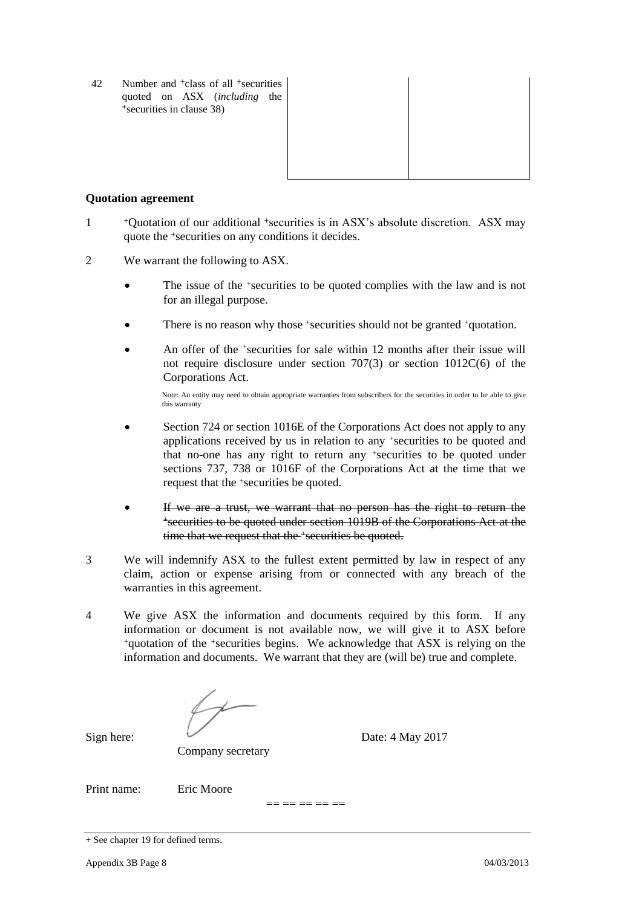42 Number and <sup>+</sup>class of all <sup>+</sup>securities quoted on ASX (*including* the <sup>+</sup>securities in clause 38)



#### **Quotation agreement**

- 1 <sup>+</sup>Quotation of our additional +securities is in ASX's absolute discretion. ASX may quote the +securities on any conditions it decides.
- 2 We warrant the following to ASX.
	- The issue of the +securities to be quoted complies with the law and is not for an illegal purpose.
	- There is no reason why those +securities should not be granted +quotation.
	- An offer of the <sup>+</sup>securities for sale within 12 months after their issue will not require disclosure under section 707(3) or section 1012C(6) of the Corporations Act.

Note: An entity may need to obtain appropriate warranties from subscribers for the securities in order to be able to give this warranty

- Section 724 or section 1016E of the Corporations Act does not apply to any applications received by us in relation to any +securities to be quoted and that no-one has any right to return any +securities to be quoted under sections 737, 738 or 1016F of the Corporations Act at the time that we request that the +securities be quoted.
- If we are a trust, we warrant that no person has the right to return the <sup>+</sup>securities to be quoted under section 1019B of the Corporations Act at the time that we request that the +securities be quoted.
- 3 We will indemnify ASX to the fullest extent permitted by law in respect of any claim, action or expense arising from or connected with any breach of the warranties in this agreement.
- 4 We give ASX the information and documents required by this form. If any information or document is not available now, we will give it to ASX before <sup>+</sup>quotation of the +securities begins. We acknowledge that ASX is relying on the information and documents. We warrant that they are (will be) true and complete.

Company secretary

Sign here: Date: 4 May 2017

Print name: Eric Moore

 $== == == == ==$ 

<sup>+</sup> See chapter 19 for defined terms.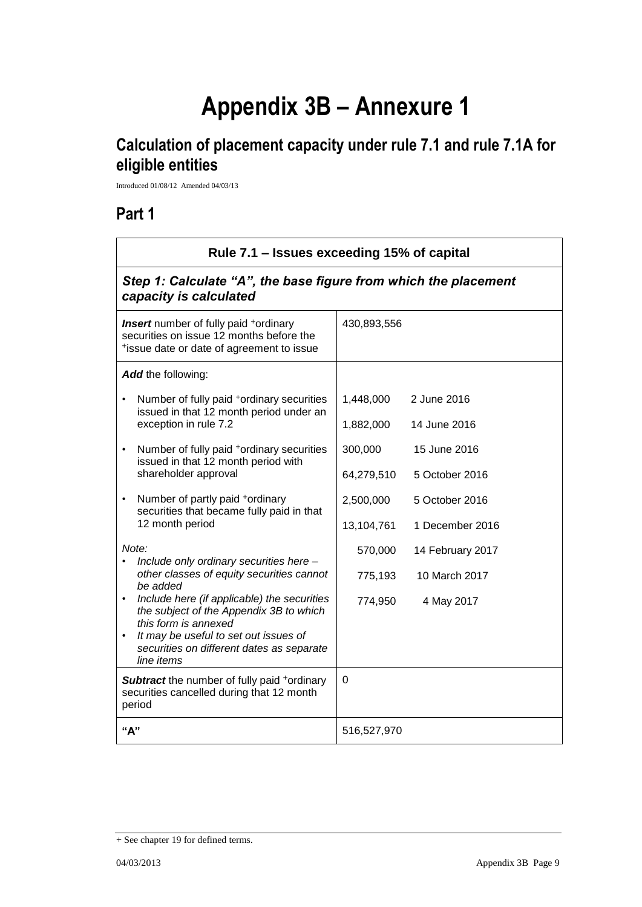# **Appendix 3B – Annexure 1**

## **Calculation of placement capacity under rule 7.1 and rule 7.1A for eligible entities**

Introduced 01/08/12 Amended 04/03/13

## **Part 1**

 $\mathbf{r}$ 

| Rule 7.1 – Issues exceeding 15% of capital<br>Step 1: Calculate "A", the base figure from which the placement<br>capacity is calculated                                                                                                  |             |                  |
|------------------------------------------------------------------------------------------------------------------------------------------------------------------------------------------------------------------------------------------|-------------|------------------|
|                                                                                                                                                                                                                                          |             |                  |
| Add the following:                                                                                                                                                                                                                       |             |                  |
| Number of fully paid <sup>+</sup> ordinary securities<br>$\bullet$<br>issued in that 12 month period under an<br>exception in rule 7.2                                                                                                   | 1,448,000   | 2 June 2016      |
|                                                                                                                                                                                                                                          | 1,882,000   | 14 June 2016     |
| Number of fully paid <sup>+</sup> ordinary securities<br>$\bullet$<br>issued in that 12 month period with                                                                                                                                | 300,000     | 15 June 2016     |
| shareholder approval                                                                                                                                                                                                                     | 64,279,510  | 5 October 2016   |
| Number of partly paid *ordinary<br>$\bullet$<br>securities that became fully paid in that                                                                                                                                                | 2,500,000   | 5 October 2016   |
| 12 month period                                                                                                                                                                                                                          | 13,104,761  | 1 December 2016  |
| Note:<br>Include only ordinary securities here -<br>other classes of equity securities cannot<br>be added<br>$\bullet$<br>Include here (if applicable) the securities<br>the subject of the Appendix 3B to which<br>this form is annexed | 570,000     | 14 February 2017 |
|                                                                                                                                                                                                                                          | 775,193     | 10 March 2017    |
|                                                                                                                                                                                                                                          | 774,950     | 4 May 2017       |
| It may be useful to set out issues of<br>$\bullet$<br>securities on different dates as separate<br>line items                                                                                                                            |             |                  |
| <b>Subtract</b> the number of fully paid +ordinary<br>securities cancelled during that 12 month<br>period                                                                                                                                | $\mathbf 0$ |                  |
| "А"                                                                                                                                                                                                                                      | 516,527,970 |                  |

<sup>+</sup> See chapter 19 for defined terms.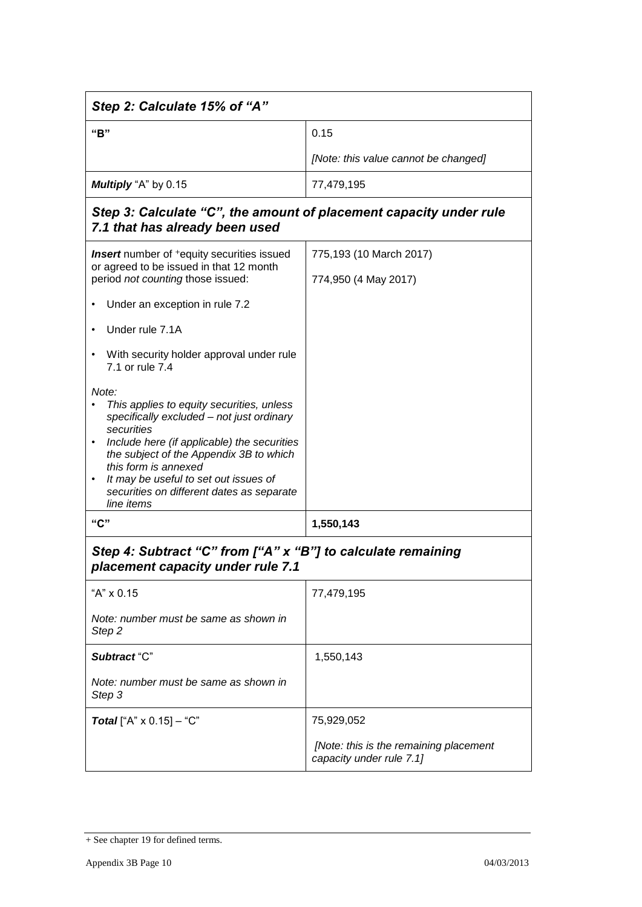| Step 2: Calculate 15% of "A"                                                                                                                                                                                                                                                                                                             |                                                                    |  |
|------------------------------------------------------------------------------------------------------------------------------------------------------------------------------------------------------------------------------------------------------------------------------------------------------------------------------------------|--------------------------------------------------------------------|--|
| "B"                                                                                                                                                                                                                                                                                                                                      | 0.15                                                               |  |
|                                                                                                                                                                                                                                                                                                                                          | [Note: this value cannot be changed]                               |  |
| Multiply "A" by 0.15                                                                                                                                                                                                                                                                                                                     | 77,479,195                                                         |  |
| Step 3: Calculate "C", the amount of placement capacity under rule<br>7.1 that has already been used                                                                                                                                                                                                                                     |                                                                    |  |
| <b>Insert</b> number of <sup>+</sup> equity securities issued<br>or agreed to be issued in that 12 month                                                                                                                                                                                                                                 | 775,193 (10 March 2017)                                            |  |
| period not counting those issued:                                                                                                                                                                                                                                                                                                        | 774,950 (4 May 2017)                                               |  |
| Under an exception in rule 7.2                                                                                                                                                                                                                                                                                                           |                                                                    |  |
| Under rule 7.1A                                                                                                                                                                                                                                                                                                                          |                                                                    |  |
| With security holder approval under rule<br>٠<br>7.1 or rule 7.4                                                                                                                                                                                                                                                                         |                                                                    |  |
| Note:<br>This applies to equity securities, unless<br>specifically excluded - not just ordinary<br>securities<br>Include here (if applicable) the securities<br>the subject of the Appendix 3B to which<br>this form is annexed<br>It may be useful to set out issues of<br>٠<br>securities on different dates as separate<br>line items |                                                                    |  |
| "C"                                                                                                                                                                                                                                                                                                                                      | 1,550,143                                                          |  |
| Step 4: Subtract "C" from ["A" x "B"] to calculate remaining<br>placement capacity under rule 7.1                                                                                                                                                                                                                                        |                                                                    |  |
| "A" x 0.15                                                                                                                                                                                                                                                                                                                               | 77,479,195                                                         |  |
| Note: number must be same as shown in<br>Step <sub>2</sub>                                                                                                                                                                                                                                                                               |                                                                    |  |
| Subtract "C"                                                                                                                                                                                                                                                                                                                             | 1,550,143                                                          |  |
| Note: number must be same as shown in<br>Step 3                                                                                                                                                                                                                                                                                          |                                                                    |  |
| <b>Total</b> ["A" $\times$ 0.15] – "C"                                                                                                                                                                                                                                                                                                   | 75,929,052                                                         |  |
|                                                                                                                                                                                                                                                                                                                                          | [Note: this is the remaining placement<br>capacity under rule 7.1] |  |

<sup>+</sup> See chapter 19 for defined terms.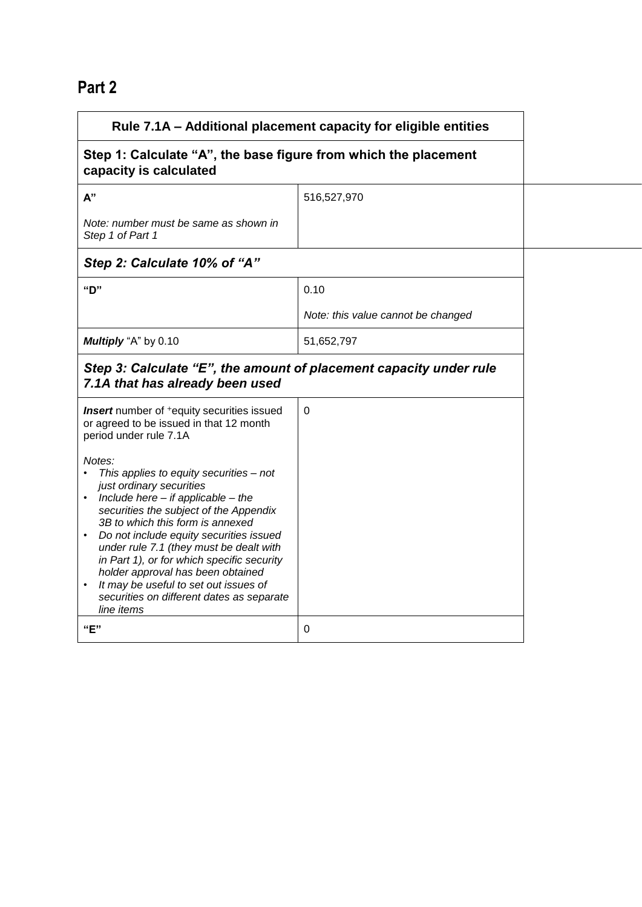# **Part 2**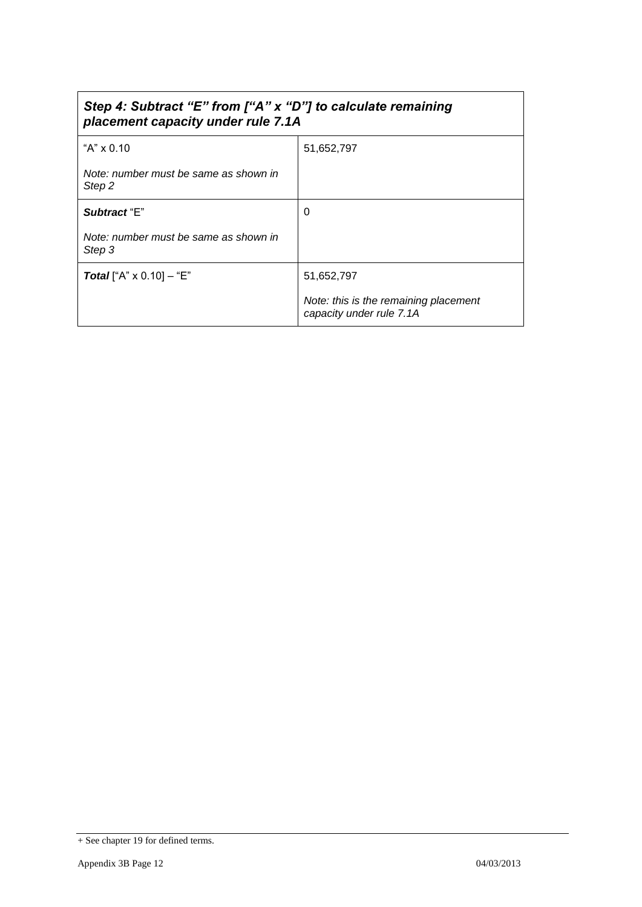## *Step 4: Subtract "E" from ["A" x "D"] to calculate remaining placement capacity under rule 7.1A*

| "A" $\times$ 0.10                               | 51,652,797                                                        |
|-------------------------------------------------|-------------------------------------------------------------------|
| Note: number must be same as shown in<br>Step 2 |                                                                   |
| Subtract "E"                                    | 0                                                                 |
| Note: number must be same as shown in<br>Step 3 |                                                                   |
| <b>Total</b> ["A" $\times$ 0.10] – "E"          | 51,652,797                                                        |
|                                                 | Note: this is the remaining placement<br>capacity under rule 7.1A |

<sup>+</sup> See chapter 19 for defined terms.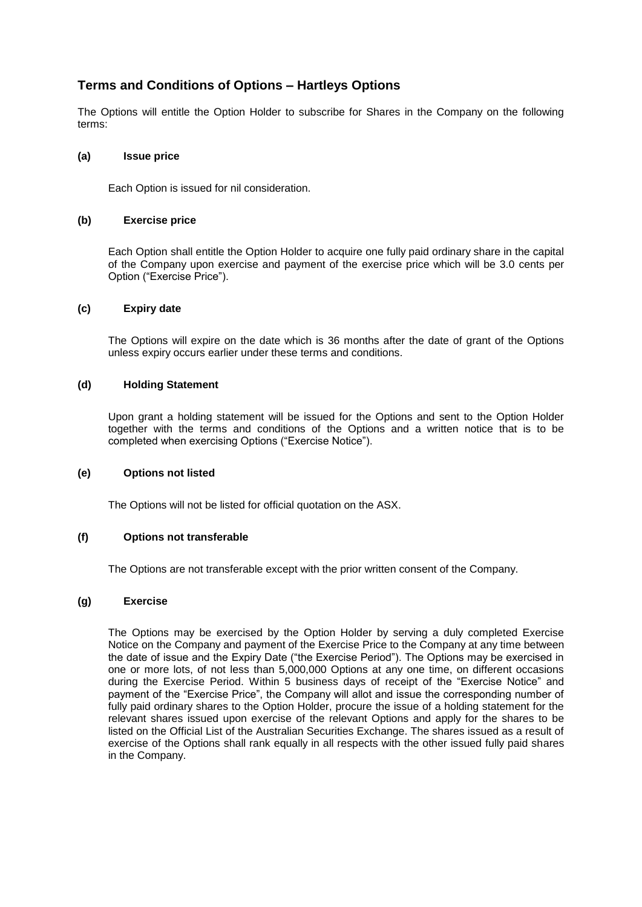### **Terms and Conditions of Options – Hartleys Options**

The Options will entitle the Option Holder to subscribe for Shares in the Company on the following terms:

#### **(a) Issue price**

Each Option is issued for nil consideration.

#### **(b) Exercise price**

Each Option shall entitle the Option Holder to acquire one fully paid ordinary share in the capital of the Company upon exercise and payment of the exercise price which will be 3.0 cents per Option ("Exercise Price").

#### **(c) Expiry date**

The Options will expire on the date which is 36 months after the date of grant of the Options unless expiry occurs earlier under these terms and conditions.

#### **(d) Holding Statement**

Upon grant a holding statement will be issued for the Options and sent to the Option Holder together with the terms and conditions of the Options and a written notice that is to be completed when exercising Options ("Exercise Notice").

#### **(e) Options not listed**

The Options will not be listed for official quotation on the ASX.

#### **(f) Options not transferable**

The Options are not transferable except with the prior written consent of the Company.

#### **(g) Exercise**

The Options may be exercised by the Option Holder by serving a duly completed Exercise Notice on the Company and payment of the Exercise Price to the Company at any time between the date of issue and the Expiry Date ("the Exercise Period"). The Options may be exercised in one or more lots, of not less than 5,000,000 Options at any one time, on different occasions during the Exercise Period. Within 5 business days of receipt of the "Exercise Notice" and payment of the "Exercise Price", the Company will allot and issue the corresponding number of fully paid ordinary shares to the Option Holder, procure the issue of a holding statement for the relevant shares issued upon exercise of the relevant Options and apply for the shares to be listed on the Official List of the Australian Securities Exchange. The shares issued as a result of exercise of the Options shall rank equally in all respects with the other issued fully paid shares in the Company.